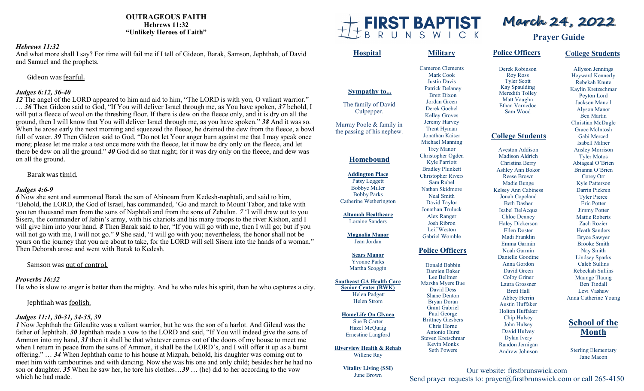**OUTRAGEOUS FAITH Hebrews 11:32 "Unlikely Heroes of Faith"**

#### *Hebrews 11:32*

And what more shall I say? For time will fail me if I tell of Gideon, Barak, Samson, Jephthah, of David and Samuel and the prophets.

Gideon was fearful.

## *Judges 6:12, 36-40*

*12* The angel of the LORD appeared to him and aid to him, "The LORD is with you, O valiant warrior." … *36* Then Gideon said to God, "If You will deliver Israel through me, as You have spoken, *37* behold, I will put a fleece of wool on the threshing floor. If there is dew on the fleece only, and it is dry on all the ground, then I will know that You will deliver Israel through me, as you have spoken." *38* And it was so. When he arose early the next morning and squeezed the fleece, he drained the dew from the fleece, a bowl full of water. *39* Then Gideon said to God, "Do not let Your anger burn against me that I may speak once more; please let me make a test once more with the fleece, let it now be dry only on the fleece, and let there be dew on all the ground." *40* God did so that night; for it was dry only on the fleece, and dew was on all the ground.

Barak was timid.

## *Judges 4:6-9*

*6* Now she sent and summoned Barak the son of Abinoam from Kedesh-naphtali, and said to him, "Behold, the LORD, the God of Israel, has commanded, 'Go and march to Mount Tabor, and take with you ten thousand men from the sons of Naphtali and from the sons of Zebulun. *7* 'I will draw out to you Sisera, the commander of Jabin's army, with his chariots and his many troops to the river Kishon, and I will give him into your hand. *8* Then Barak said to her, "If you will go with me, then I will go; but if you will not go with me, I will not go." **9** She said, "I will go with you; nevertheless, the honor shall not be yours on the journey that you are about to take, for the LORD will sell Sisera into the hands of a woman." Then Deborah arose and went with Barak to Kedesh.

Samson was out of control.

## *Proverbs 16:32*

He who is slow to anger is better than the mighty. And he who rules his spirit, than he who captures a city.

## Jephthah was foolish.

## *Judges 11:1, 30-31, 34-35, 39*

*1* Now Jephthah the Gileadite was a valiant warrior, but he was the son of a harlot. And Gilead was the father of Jephthah. *30* Jephthah made a vow to the LORD and said, "If You will indeed give the sons of Ammon into my hand, *31* then it shall be that whatever comes out of the doors of my house to meet me when I return in peace from the sons of Ammon, it shall be the LORD's, and I will offer it up as a burnt offering." … *34* When Jephthah came to his house at Mizpah, behold, his daughter was coming out to meet him with tambourines and with dancing. Now she was his one and only child; besides her he had no son or daughter. *35* When he saw her, he tore his clothes…*39* … (he) did to her according to the vow which he had made.



Allyson Jennings Heyward Kennerly Rebekah Knute Kaylin Kretzschmar Peyton Lord Jackson Mancil Alyson Manor Ben Martin Christian McDugle Grace McIntosh Gabi Merced Isabell Milner Ansley Morrison Tyler Motos Abiageal O'Brien Brianna O'Brien Corey Orr Kyle Patterson Darrin Pickren Tyler Pierce Eric Potter Jimmy Potter Mattie Roberts Zach Rozier Heath Sanders Bryce Sawyer Brooke Smith Nay Smith Lindsey Sparks Caleb Sullins Rebeckah Sullins Maunge Tlaung Ben Tindall Levi Vashaw Anna Catherine Young **School of the** 

**College Students**

Sterling Elementary Jane Macon

**Month**

Our website: firstbrunswick.com Send prayer requests to: prayer@firstbrunswick.com or call 265-4150

**March 24, 2022**

**Prayer Guide**